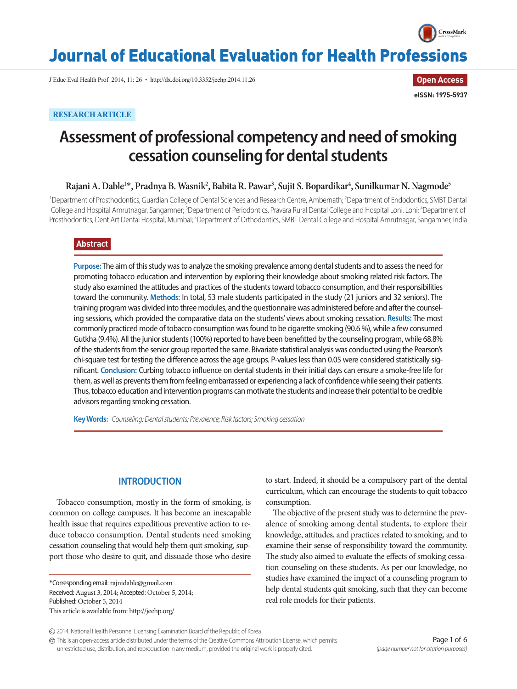

# Journal of Educational Evaluation for Health Professions

J Educ Eval Health Prof 2014, 11: 26 • http://dx.doi.org/10.3352/jeehp.2014.11.26

**Open Access eISSN: 1975-5937**

# **RESEARCH ARTICLE**

# **Assessment of professional competency and need of smoking cessation counseling for dental students**

# **Rajani A. Dable1** \***, Pradnya B. Wasnik2 , Babita R. Pawar3 , Sujit S. Bopardikar4 , Sunilkumar N. Nagmode5**

<sup>1</sup>Department of Prosthodontics, Guardian College of Dental Sciences and Research Centre, Ambernath; <sup>2</sup>Department of Endodontics, SMBT Dental College and Hospital Amrutnagar, Sangamner; <sup>3</sup>Department of Periodontics, Pravara Rural Dental College and Hospital Loni, Loni; <sup>4</sup>Department of Prosthodontics, Dent Art Dental Hospital, Mumbai; <sup>s</sup>Department of Orthodontics, SMBT Dental College and Hospital Amrutnagar, Sangamner, India

# **Abstract**

**Purpose:** The aim of this study was to analyze the smoking prevalence among dental students and to assess the need for promoting tobacco education and intervention by exploring their knowledge about smoking related risk factors. The study also examined the attitudes and practices of the students toward tobacco consumption, and their responsibilities toward the community. **Methods:** In total, 53 male students participated in the study (21 juniors and 32 seniors). The training program was divided into three modules, and the questionnaire was administered before and after the counseling sessions, which provided the comparative data on the students' views about smoking cessation. **Results:** The most commonly practiced mode of tobacco consumption was found to be cigarette smoking (90.6 %), while a few consumed Gutkha (9.4%). All the junior students (100%) reported to have been benefitted by the counseling program, while 68.8% of the students from the senior group reported the same. Bivariate statistical analysis was conducted using the Pearson's chi-square test for testing the difference across the age groups. P-values less than 0.05 were considered statistically significant. **Conclusion:** Curbing tobacco influence on dental students in their initial days can ensure a smoke-free life for them, as well as prevents them from feeling embarrassed or experiencing a lack of confidence while seeing their patients. Thus, tobacco education and intervention programs can motivate the students and increase their potential to be credible advisors regarding smoking cessation.

**Key Words:** *Counseling; Dental students; Prevalence; Risk factors; Smoking cessation*

# **INTRODUCTION**

Tobacco consumption, mostly in the form of smoking, is common on college campuses. It has become an inescapable health issue that requires expeditious preventive action to reduce tobacco consumption. Dental students need smoking cessation counseling that would help them quit smoking, support those who desire to quit, and dissuade those who desire

\*Corresponding email: rajnidable@gmail.com Received: August 3, 2014; Accepted: October 5, 2014; Published: October 5, 2014 This article is available from: http://jeehp.org/

to start. Indeed, it should be a compulsory part of the dental curriculum, which can encourage the students to quit tobacco consumption.

The objective of the present study was to determine the prevalence of smoking among dental students, to explore their knowledge, attitudes, and practices related to smoking, and to examine their sense of responsibility toward the community. The study also aimed to evaluate the effects of smoking cessation counseling on these students. As per our knowledge, no studies have examined the impact of a counseling program to help dental students quit smoking, such that they can become real role models for their patients.

This is an open-access article distributed under the terms of the Creative Commons Attribution License, which permits unrestricted use, distribution, and reproduction in any medium, provided the original work is properly cited.

<sup>2014,</sup> National Health Personnel Licensing Examination Board of the Republic of Korea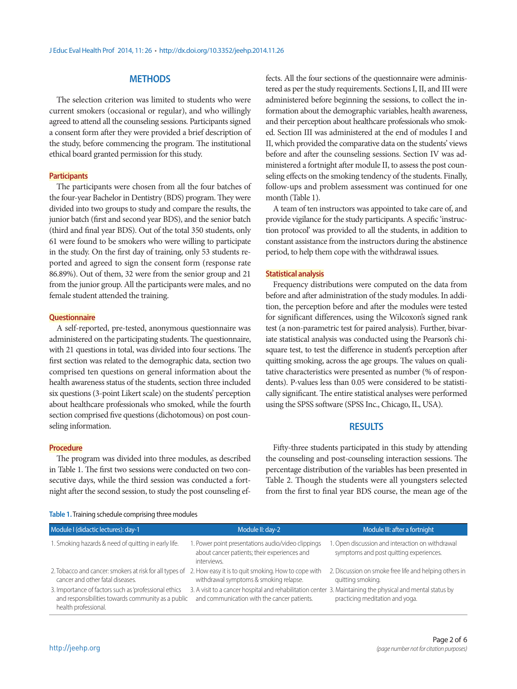# **METHODS**

The selection criterion was limited to students who were current smokers (occasional or regular), and who willingly agreed to attend all the counseling sessions. Participants signed a consent form after they were provided a brief description of the study, before commencing the program. The institutional ethical board granted permission for this study.

#### **Participants**

The participants were chosen from all the four batches of the four-year Bachelor in Dentistry (BDS) program. They were divided into two groups to study and compare the results, the junior batch (first and second year BDS), and the senior batch (third and final year BDS). Out of the total 350 students, only 61 were found to be smokers who were willing to participate in the study. On the first day of training, only 53 students reported and agreed to sign the consent form (response rate 86.89%). Out of them, 32 were from the senior group and 21 from the junior group. All the participants were males, and no female student attended the training.

#### **Questionnaire**

A self-reported, pre-tested, anonymous questionnaire was administered on the participating students. The questionnaire, with 21 questions in total, was divided into four sections. The first section was related to the demographic data, section two comprised ten questions on general information about the health awareness status of the students, section three included six questions (3-point Likert scale) on the students' perception about healthcare professionals who smoked, while the fourth section comprised five questions (dichotomous) on post counseling information.

#### **Procedure**

The program was divided into three modules, as described in Table 1. The first two sessions were conducted on two consecutive days, while the third session was conducted a fortnight after the second session, to study the post counseling ef-

fects. All the four sections of the questionnaire were administered as per the study requirements. Sections I, II, and III were administered before beginning the sessions, to collect the information about the demographic variables, health awareness, and their perception about healthcare professionals who smoked. Section III was administered at the end of modules I and II, which provided the comparative data on the students' views before and after the counseling sessions. Section IV was administered a fortnight after module II, to assess the post counseling effects on the smoking tendency of the students. Finally, follow-ups and problem assessment was continued for one month (Table 1).

A team of ten instructors was appointed to take care of, and provide vigilance for the study participants. A specific 'instruction protocol' was provided to all the students, in addition to constant assistance from the instructors during the abstinence period, to help them cope with the withdrawal issues.

#### **Statistical analysis**

Frequency distributions were computed on the data from before and after administration of the study modules. In addition, the perception before and after the modules were tested for significant differences, using the Wilcoxon's signed rank test (a non-parametric test for paired analysis). Further, bivariate statistical analysis was conducted using the Pearson's chisquare test, to test the difference in student's perception after quitting smoking, across the age groups. The values on qualitative characteristics were presented as number (% of respondents). P-values less than 0.05 were considered to be statistically significant. The entire statistical analyses were performed using the SPSS software (SPSS Inc., Chicago, IL, USA).

## **RESULTS**

Fifty-three students participated in this study by attending the counseling and post-counseling interaction sessions. The percentage distribution of the variables has been presented in Table 2. Though the students were all youngsters selected from the first to final year BDS course, the mean age of the

| Module I (didactic lectures): day-1                                                                                                             | Module II: day-2                                                                                                                                          | Module III: after a fortnight                                                               |
|-------------------------------------------------------------------------------------------------------------------------------------------------|-----------------------------------------------------------------------------------------------------------------------------------------------------------|---------------------------------------------------------------------------------------------|
| 1. Smoking hazards & need of quitting in early life.                                                                                            | 1. Power point presentations audio/video clippings<br>about cancer patients; their experiences and<br>interviews.                                         | 1. Open discussion and interaction on withdrawal<br>symptoms and post quitting experiences. |
| 2. Tobacco and cancer: smokers at risk for all types of 2. How easy it is to quit smoking. How to cope with<br>cancer and other fatal diseases. | withdrawal symptoms & smoking relapse.                                                                                                                    | 2. Discussion on smoke free life and helping others in<br>quitting smoking.                 |
| 3. Importance of factors such as 'professional ethics<br>and responsibilities towards community as a public<br>health professional.             | 3. A visit to a cancer hospital and rehabilitation center 3. Maintaining the physical and mental status by<br>and communication with the cancer patients. | practicing meditation and yoga.                                                             |

#### **Table 1.** Training schedule comprising three modules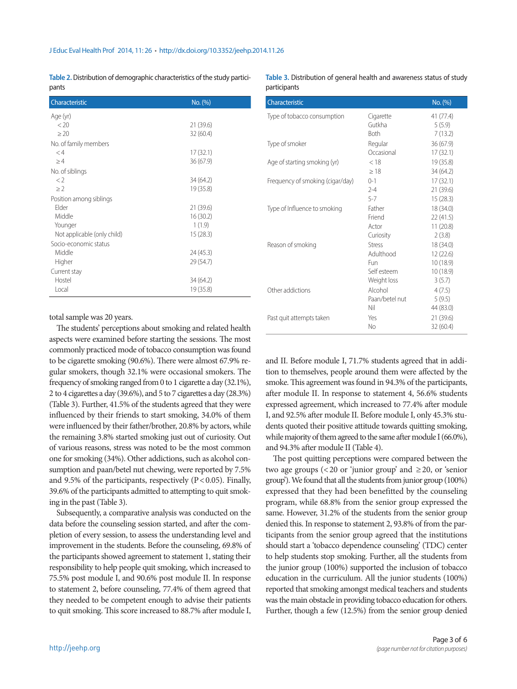**Table 2.** Distribution of demographic characteristics of the study participants

| Characteristic              | No. (%)   |
|-----------------------------|-----------|
| Age (yr)                    |           |
| < 20                        | 21 (39.6) |
| > 20                        | 32(60.4)  |
| No. of family members       |           |
| $\lt4$                      | 17(32.1)  |
| >4                          | 36(67.9)  |
| No. of siblings             |           |
| $\langle$ 2                 | 34 (64.2) |
| $>$ ?                       | 19 (35.8) |
| Position among siblings     |           |
| Elder                       | 21(39.6)  |
| Middle                      | 16(30.2)  |
| Younger                     | 1(1.9)    |
| Not applicable (only child) | 15(28.3)  |
| Socio-economic status       |           |
| Middle                      | 24 (45.3) |
| Higher                      | 29 (54.7) |
| Current stay                |           |
| Hostel                      | 34 (64.2) |
| Local                       | 19 (35.8) |

#### **Table 3.** Distribution of general health and awareness status of study participants

| Characteristic                   |                | No. (%)   |
|----------------------------------|----------------|-----------|
| Type of tobacco consumption      | Cigarette      | 41(77.4)  |
|                                  | Gutkha         | 5(5.9)    |
|                                  | <b>Both</b>    | 7(13.2)   |
| Type of smoker                   | Regular        | 36(67.9)  |
|                                  | Occasional     | 17(32.1)  |
| Age of starting smoking (yr)     | < 18           | 19 (35.8) |
|                                  | >18            | 34 (64.2) |
| Frequency of smoking (cigar/day) | $0 - 1$        | 17(32.1)  |
|                                  | $2 - 4$        | 21 (39.6) |
|                                  | $5 - 7$        | 15(28.3)  |
| Type of Influence to smoking     | Father         | 18 (34.0) |
|                                  | Friend         | 22(41.5)  |
|                                  | Actor          | 11(20.8)  |
|                                  | Curiosity      | 2(3.8)    |
| Reason of smoking                | <b>Stress</b>  | 18 (34.0) |
|                                  | Adulthood      | 12(22.6)  |
|                                  | Fun            | 10(18.9)  |
|                                  | Self esteem    | 10(18.9)  |
|                                  | Weight loss    | 3(5.7)    |
| Other addictions                 | Alcohol        | 4(7.5)    |
|                                  | Paan/betel nut | 5(9.5)    |
|                                  | Nil            | 44 (83.0) |
| Past quit attempts taken         | Yes            | 21 (39.6) |
|                                  | No             | 32(60.4)  |

total sample was 20 years.

The students' perceptions about smoking and related health aspects were examined before starting the sessions. The most commonly practiced mode of tobacco consumption was found to be cigarette smoking (90.6%). There were almost 67.9% regular smokers, though 32.1% were occasional smokers. The frequency of smoking ranged from 0 to 1 cigarette a day (32.1%), 2 to 4 cigarettes a day (39.6%), and 5 to 7 cigarettes a day (28.3%) (Table 3). Further, 41.5% of the students agreed that they were influenced by their friends to start smoking, 34.0% of them were influenced by their father/brother, 20.8% by actors, while the remaining 3.8% started smoking just out of curiosity. Out of various reasons, stress was noted to be the most common one for smoking (34%). Other addictions, such as alcohol consumption and paan/betel nut chewing, were reported by 7.5% and 9.5% of the participants, respectively ( $P < 0.05$ ). Finally, 39.6% of the participants admitted to attempting to quit smoking in the past (Table 3).

Subsequently, a comparative analysis was conducted on the data before the counseling session started, and after the completion of every session, to assess the understanding level and improvement in the students. Before the counseling, 69.8% of the participants showed agreement to statement 1, stating their responsibility to help people quit smoking, which increased to 75.5% post module I, and 90.6% post module II. In response to statement 2, before counseling, 77.4% of them agreed that they needed to be competent enough to advise their patients to quit smoking. This score increased to 88.7% after module I,

and II. Before module I, 71.7% students agreed that in addition to themselves, people around them were affected by the smoke. This agreement was found in 94.3% of the participants, after module II. In response to statement 4, 56.6% students expressed agreement, which increased to 77.4% after module I, and 92.5% after module II. Before module I, only 45.3% students quoted their positive attitude towards quitting smoking, while majority of them agreed to the same after module I (66.0%), and 94.3% after module II (Table 4).

The post quitting perceptions were compared between the two age groups (<20 or 'junior group' and  $\geq$ 20, or 'senior group'). We found that all the students from junior group (100%) expressed that they had been benefitted by the counseling program, while 68.8% from the senior group expressed the same. However, 31.2% of the students from the senior group denied this. In response to statement 2, 93.8% of from the participants from the senior group agreed that the institutions should start a 'tobacco dependence counseling' (TDC) center to help students stop smoking. Further, all the students from the junior group (100%) supported the inclusion of tobacco education in the curriculum. All the junior students (100%) reported that smoking amongst medical teachers and students was the main obstacle in providing tobacco education for others. Further, though a few (12.5%) from the senior group denied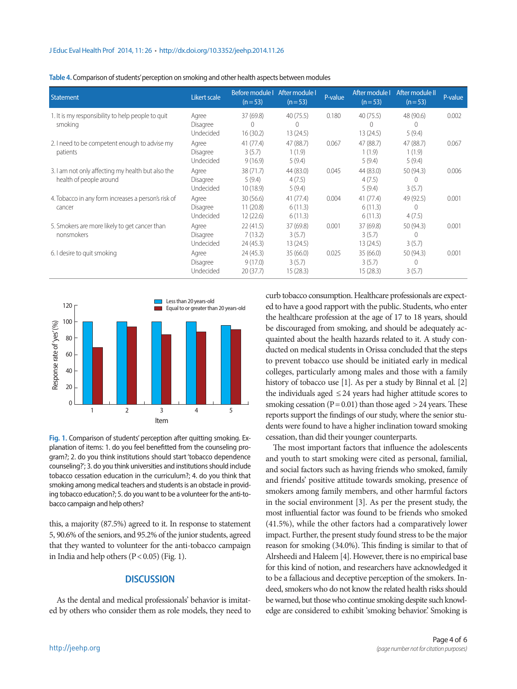**Table 4.** Comparison of students' perception on smoking and other health aspects between modules

| Statement                                                                    | Likert scale                   | Before module   After module  <br>$(n=53)$ | $(n=53)$                          | P-value | After module I<br>$(n=53)$        | After module II<br>$(n=53)$     | P-value |
|------------------------------------------------------------------------------|--------------------------------|--------------------------------------------|-----------------------------------|---------|-----------------------------------|---------------------------------|---------|
| 1. It is my responsibility to help people to quit<br>smoking                 | Agree<br>Disagree<br>Undecided | 37(69.8)<br>$\Omega$<br>16(30.2)           | 40(75.5)<br>$\Omega$<br>13 (24.5) | 0.180   | 40(75.5)<br>$\Omega$<br>13 (24.5) | 48 (90.6)<br>$\Omega$<br>5(9.4) | 0.002   |
| 2. I need to be competent enough to advise my<br>patients                    | Agree<br>Disagree<br>Undecided | 41(77.4)<br>3(5.7)<br>9(16.9)              | 47 (88.7)<br>1(1.9)<br>5(9.4)     | 0.067   | 47 (88.7)<br>1(1.9)<br>5(9.4)     | 47 (88.7)<br>1(1.9)<br>5(9.4)   | 0.067   |
| 3. I am not only affecting my health but also the<br>health of people around | Agree<br>Disagree<br>Undecided | 38(71.7)<br>5(9.4)<br>10(18.9)             | 44 (83.0)<br>4(7.5)<br>5(9.4)     | 0.045   | 44 (83.0)<br>4(7.5)<br>5(9.4)     | 50 (94.3)<br>$\theta$<br>3(5.7) | 0.006   |
| 4. Tobacco in any form increases a person's risk of<br>cancer                | Agree<br>Disagree<br>Undecided | 30(56.6)<br>11(20.8)<br>12(22.6)           | 41(77.4)<br>6(11.3)<br>6(11.3)    | 0.004   | 41 (77.4)<br>6(11.3)<br>6(11.3)   | 49 (92.5)<br>$\theta$<br>4(7.5) | 0.001   |
| 5. Smokers are more likely to get cancer than<br>nonsmokers                  | Agree<br>Disagree<br>Undecided | 22(41.5)<br>7(13.2)<br>24(45.3)            | 37 (69.8)<br>3(5.7)<br>13 (24.5)  | 0.001   | 37 (69.8)<br>3(5.7)<br>13(24.5)   | 50 (94.3)<br>$\theta$<br>3(5.7) | 0.001   |
| 6. I desire to quit smoking                                                  | Agree<br>Disagree<br>Undecided | 24(45.3)<br>9(17.0)<br>20(37.7)            | 35(66.0)<br>3(5.7)<br>15 (28.3)   | 0.025   | 35(66.0)<br>3(5.7)<br>15(28.3)    | 50 (94.3)<br>$\theta$<br>3(5.7) | 0.001   |



**Fig. 1.** Comparison of students' perception after quitting smoking. Explanation of items: 1. do you feel benefitted from the counseling program?; 2. do you think institutions should start 'tobacco dependence counseling?'; 3. do you think universities and institutions should include tobacco cessation education in the curriculum?; 4. do you think that smoking among medical teachers and students is an obstacle in providing tobacco education?; 5. do you want to be a volunteer for the anti-tobacco campaign and help others?

this, a majority (87.5%) agreed to it. In response to statement 5, 90.6% of the seniors, and 95.2% of the junior students, agreed that they wanted to volunteer for the anti-tobacco campaign in India and help others  $(P < 0.05)$  (Fig. 1).

### **DISCUSSION**

As the dental and medical professionals' behavior is imitated by others who consider them as role models, they need to

curb tobacco consumption. Healthcare professionals are expected to have a good rapport with the public. Students, who enter the healthcare profession at the age of 17 to 18 years, should be discouraged from smoking, and should be adequately acquainted about the health hazards related to it. A study conducted on medical students in Orissa concluded that the steps to prevent tobacco use should be initiated early in medical colleges, particularly among males and those with a family history of tobacco use [1]. As per a study by Binnal et al. [2] the individuals aged  $\leq$  24 years had higher attitude scores to smoking cessation ( $P = 0.01$ ) than those aged  $> 24$  years. These reports support the findings of our study, where the senior students were found to have a higher inclination toward smoking cessation, than did their younger counterparts.

The most important factors that influence the adolescents and youth to start smoking were cited as personal, familial, and social factors such as having friends who smoked, family and friends' positive attitude towards smoking, presence of smokers among family members, and other harmful factors in the social environment [3]. As per the present study, the most influential factor was found to be friends who smoked (41.5%), while the other factors had a comparatively lower impact. Further, the present study found stress to be the major reason for smoking (34.0%). This finding is similar to that of Alrsheedi and Haleem [4]. However, there is no empirical base for this kind of notion, and researchers have acknowledged it to be a fallacious and deceptive perception of the smokers. Indeed, smokers who do not know the related health risks should be warned, but those who continue smoking despite such knowledge are considered to exhibit 'smoking behavior.' Smoking is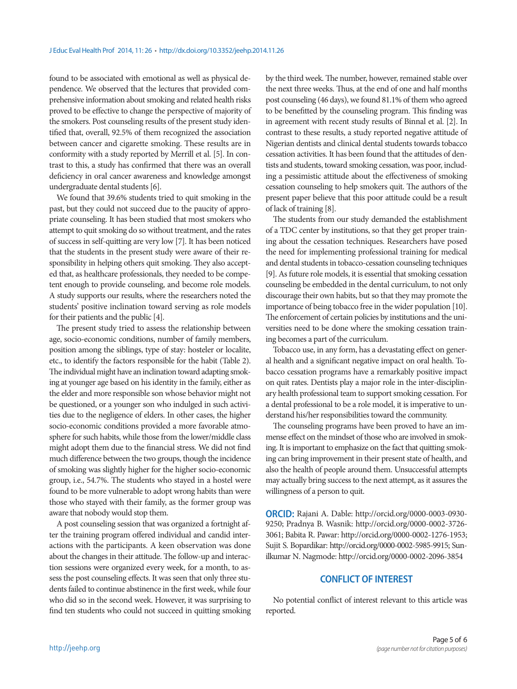found to be associated with emotional as well as physical dependence. We observed that the lectures that provided comprehensive information about smoking and related health risks proved to be effective to change the perspective of majority of the smokers. Post counseling results of the present study identified that, overall, 92.5% of them recognized the association between cancer and cigarette smoking. These results are in conformity with a study reported by Merrill et al. [5]. In contrast to this, a study has confirmed that there was an overall deficiency in oral cancer awareness and knowledge amongst undergraduate dental students [6].

We found that 39.6% students tried to quit smoking in the past, but they could not succeed due to the paucity of appropriate counseling. It has been studied that most smokers who attempt to quit smoking do so without treatment, and the rates of success in self-quitting are very low [7]. It has been noticed that the students in the present study were aware of their responsibility in helping others quit smoking. They also accepted that, as healthcare professionals, they needed to be competent enough to provide counseling, and become role models. A study supports our results, where the researchers noted the students' positive inclination toward serving as role models for their patients and the public [4].

The present study tried to assess the relationship between age, socio-economic conditions, number of family members, position among the siblings, type of stay: hosteler or localite, etc., to identify the factors responsible for the habit (Table 2). The individual might have an inclination toward adapting smoking at younger age based on his identity in the family, either as the elder and more responsible son whose behavior might not be questioned, or a younger son who indulged in such activities due to the negligence of elders. In other cases, the higher socio-economic conditions provided a more favorable atmosphere for such habits, while those from the lower/middle class might adopt them due to the financial stress. We did not find much difference between the two groups, though the incidence of smoking was slightly higher for the higher socio-economic group, i.e., 54.7%. The students who stayed in a hostel were found to be more vulnerable to adopt wrong habits than were those who stayed with their family, as the former group was aware that nobody would stop them.

A post counseling session that was organized a fortnight after the training program offered individual and candid interactions with the participants. A keen observation was done about the changes in their attitude. The follow-up and interaction sessions were organized every week, for a month, to assess the post counseling effects. It was seen that only three students failed to continue abstinence in the first week, while four who did so in the second week. However, it was surprising to find ten students who could not succeed in quitting smoking

by the third week. The number, however, remained stable over the next three weeks. Thus, at the end of one and half months post counseling (46 days), we found 81.1% of them who agreed to be benefitted by the counseling program. This finding was in agreement with recent study results of Binnal et al. [2]. In contrast to these results, a study reported negative attitude of Nigerian dentists and clinical dental students towards tobacco cessation activities. It has been found that the attitudes of dentists and students, toward smoking cessation, was poor, including a pessimistic attitude about the effectiveness of smoking cessation counseling to help smokers quit. The authors of the present paper believe that this poor attitude could be a result of lack of training [8].

The students from our study demanded the establishment of a TDC center by institutions, so that they get proper training about the cessation techniques. Researchers have posed the need for implementing professional training for medical and dental students in tobacco-cessation counseling techniques [9]. As future role models, it is essential that smoking cessation counseling be embedded in the dental curriculum, to not only discourage their own habits, but so that they may promote the importance of being tobacco free in the wider population [10]. The enforcement of certain policies by institutions and the universities need to be done where the smoking cessation training becomes a part of the curriculum.

Tobacco use, in any form, has a devastating effect on general health and a significant negative impact on oral health. Tobacco cessation programs have a remarkably positive impact on quit rates. Dentists play a major role in the inter-disciplinary health professional team to support smoking cessation. For a dental professional to be a role model, it is imperative to understand his/her responsibilities toward the community.

The counseling programs have been proved to have an immense effect on the mindset of those who are involved in smoking. It is important to emphasize on the fact that quitting smoking can bring improvement in their present state of health, and also the health of people around them. Unsuccessful attempts may actually bring success to the next attempt, as it assures the willingness of a person to quit.

**ORCID:** Rajani A. Dable: http://orcid.org/0000-0003-0930- 9250; Pradnya B. Wasnik: http://orcid.org/0000-0002-3726- 3061; Babita R. Pawar: http://orcid.org/0000-0002-1276-1953; Sujit S. Bopardikar: http://orcid.org/0000-0002-5985-9915; Sunilkumar N. Nagmode: http://orcid.org/0000-0002-2096-3854

### **CONFLICT OF INTEREST**

No potential conflict of interest relevant to this article was reported.